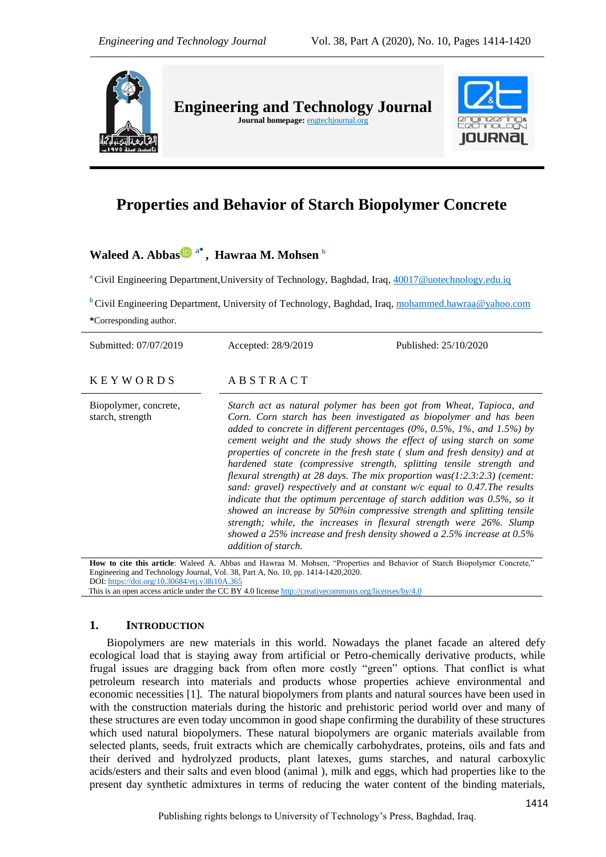

# **Properties and Behavior of Starch Biopolymer Concrete**

## **Waleed A. Abbas a\* , Hawraa M. Mohsen <sup>b</sup>**

**<sup>a</sup>** Civil Engineering Department,University of Technology, Baghdad, Iraq[, 40017@uotechnology.edu.iq](mailto:40017@uotechnology.edu.iq)

**b** Civil Engineering Department, University of Technology, Baghdad, Iraq, [mohammed.hawraa@yahoo.com](mailto:mohammed.hawraa@yahoo.com) **\***Corresponding author.

| Submitted: 07/07/2019                     | Accepted: 28/9/2019                                                                                                                                                                                                                                                                                                                                                                                                                                                                                                                                                                                                                                                                                                                                                                                                                                                                                                                                                    | Published: 25/10/2020 |
|-------------------------------------------|------------------------------------------------------------------------------------------------------------------------------------------------------------------------------------------------------------------------------------------------------------------------------------------------------------------------------------------------------------------------------------------------------------------------------------------------------------------------------------------------------------------------------------------------------------------------------------------------------------------------------------------------------------------------------------------------------------------------------------------------------------------------------------------------------------------------------------------------------------------------------------------------------------------------------------------------------------------------|-----------------------|
| <b>KEYWORDS</b>                           | ABSTRACT                                                                                                                                                                                                                                                                                                                                                                                                                                                                                                                                                                                                                                                                                                                                                                                                                                                                                                                                                               |                       |
| Biopolymer, concrete,<br>starch, strength | Starch act as natural polymer has been got from Wheat, Tapioca, and<br>Corn. Corn starch has been investigated as biopolymer and has been<br>added to concrete in different percentages $(0\%$ , $0.5\%$ , $1\%$ , and $1.5\%$ ) by<br>cement weight and the study shows the effect of using starch on some<br>properties of concrete in the fresh state (slum and fresh density) and at<br>hardened state (compressive strength, splitting tensile strength and<br>flexural strength) at 28 days. The mix proportion $was(1:2.3:2.3)$ (cement:<br>sand: gravel) respectively and at constant $w/c$ equal to 0.47. The results<br>indicate that the optimum percentage of starch addition was $0.5\%$ , so it<br>showed an increase by 50%in compressive strength and splitting tensile<br>strength; while, the increases in flexural strength were 26%. Slump<br>showed a 25% increase and fresh density showed a 2.5% increase at 0.5%<br><i>addition of starch.</i> |                       |
|                                           | How to cite this article: Waleed A. Abbas and Hawraa M. Mohsen, "Properties and Behavior of Starch Biopolymer Concrete,"                                                                                                                                                                                                                                                                                                                                                                                                                                                                                                                                                                                                                                                                                                                                                                                                                                               |                       |
|                                           | Engineering and Technology Journal, Vol. 38, Part A, No. 10, pp. 1414-1420,2020.                                                                                                                                                                                                                                                                                                                                                                                                                                                                                                                                                                                                                                                                                                                                                                                                                                                                                       |                       |

DOI: <https://doi.org/10.30684/etj.v38i10A.365>

This is an open access article under the CC BY 4.0 licens[e http://creativecommons.org/licenses/by/4.0](http://creativecommons.org/licenses/by/4.0)

#### **1. INTRODUCTION**

Biopolymers are new materials in this world. Nowadays the planet facade an altered defy ecological load that is staying away from artificial or Petro-chemically derivative products, while frugal issues are dragging back from often more costly "green" options. That conflict is what petroleum research into materials and products whose properties achieve environmental and economic necessities [1]. The natural biopolymers from plants and natural sources have been used in with the construction materials during the historic and prehistoric period world over and many of these structures are even today uncommon in good shape confirming the durability of these structures which used natural biopolymers. These natural biopolymers are organic materials available from selected plants, seeds, fruit extracts which are chemically carbohydrates, proteins, oils and fats and their derived and hydrolyzed products, plant latexes, gums starches, and natural carboxylic acids/esters and their salts and even blood (animal ), milk and eggs, which had properties like to the present day synthetic admixtures in terms of reducing the water content of the binding materials,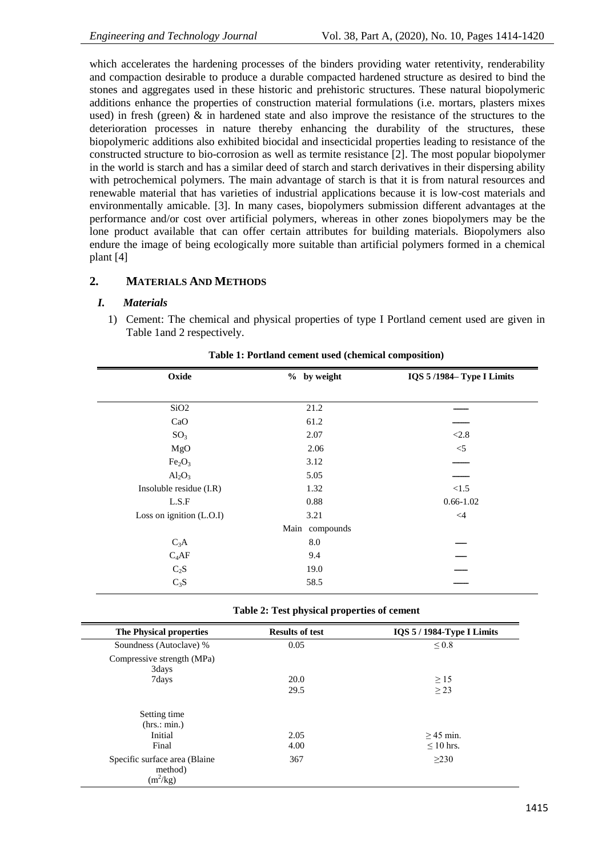which accelerates the hardening processes of the binders providing water retentivity, renderability and compaction desirable to produce a durable compacted hardened structure as desired to bind the stones and aggregates used in these historic and prehistoric structures. These natural biopolymeric additions enhance the properties of construction material formulations (i.e. mortars, plasters mixes used) in fresh (green) & in hardened state and also improve the resistance of the structures to the deterioration processes in nature thereby enhancing the durability of the structures, these biopolymeric additions also exhibited biocidal and insecticidal properties leading to resistance of the constructed structure to bio-corrosion as well as termite resistance [2]. The most popular biopolymer in the world is starch and has a similar deed of starch and starch derivatives in their dispersing ability with petrochemical polymers. The main advantage of starch is that it is from natural resources and renewable material that has varieties of industrial applications because it is low-cost materials and environmentally amicable. [3]. In many cases, biopolymers submission different advantages at the performance and/or cost over artificial polymers, whereas in other zones biopolymers may be the lone product available that can offer certain attributes for building materials. Biopolymers also endure the image of being ecologically more suitable than artificial polymers formed in a chemical plant [4]

## **2. MATERIALS AND METHODS**

#### *I. Materials*

1) Cement: The chemical and physical properties of type I Portland cement used are given in Table 1and 2 respectively.

| % by weight    | IQS 5/1984-Type I Limits |
|----------------|--------------------------|
|                |                          |
|                |                          |
| 61.2           |                          |
| 2.07           | < 2.8                    |
| 2.06           | $<\!\!5$                 |
| 3.12           |                          |
| 5.05           |                          |
| 1.32           | < 1.5                    |
| 0.88           | $0.66 - 1.02$            |
| 3.21           | $\leq 4$                 |
| Main compounds |                          |
| $\ \, 8.0$     |                          |
| 9.4            |                          |
| 19.0           |                          |
| 58.5           |                          |
|                | 21.2                     |

**Table 1: Portland cement used (chemical composition)**

**Table 2: Test physical properties of cement** 

| The Physical properties                                 | <b>Results of test</b> | IQS 5 / 1984-Type I Limits   |
|---------------------------------------------------------|------------------------|------------------------------|
| Soundness (Autoclave) %                                 | 0.05                   | $\leq 0.8$                   |
| Compressive strength (MPa)<br>3days                     |                        |                              |
| 7days                                                   | 20.0                   | $\geq$ 15                    |
|                                                         | 29.5                   | > 23                         |
| Setting time<br>(hrs.: min.)<br>Initial<br>Final        | 2.05<br>4.00           | $>45$ min.<br>$\leq 10$ hrs. |
| Specific surface area (Blaine)<br>method)<br>$(m^2/kg)$ | 367                    | $\geq$ 230                   |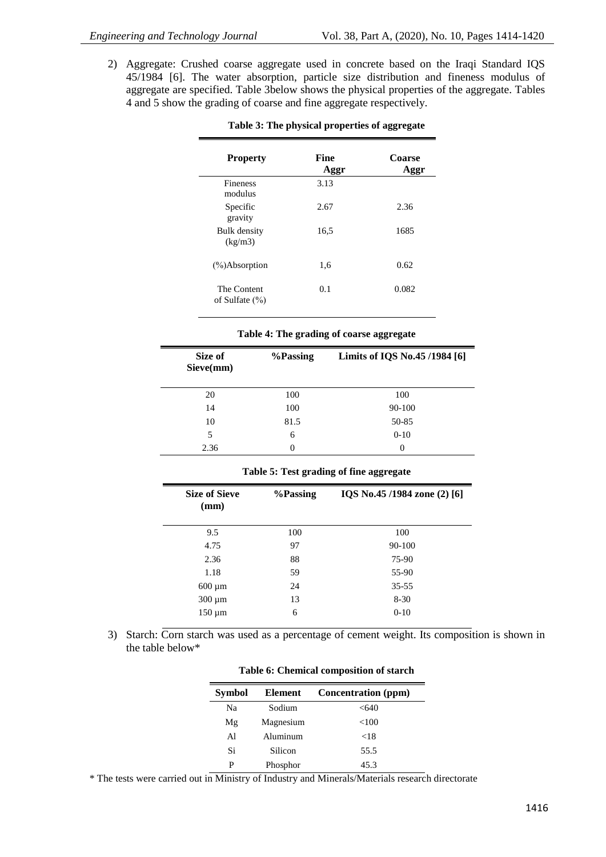2) Aggregate: Crushed coarse aggregate used in concrete based on the Iraqi Standard IQS 45/1984 [6]. The water absorption, particle size distribution and fineness modulus of aggregate are specified. Table 3below shows the physical properties of the aggregate. Tables 4 and 5 show the grading of coarse and fine aggregate respectively.

| <b>Property</b>                   | Fine<br>Aggr | Coarse<br>Aggr |
|-----------------------------------|--------------|----------------|
| <b>Fineness</b><br>modulus        | 3.13         |                |
| Specific<br>gravity               | 2.67         | 2.36           |
| Bulk density<br>(kg/m3)           | 16,5         | 1685           |
| $\frac{9}{6}$ Absorption          | 1,6          | 0.62           |
| The Content<br>of Sulfate $(\% )$ | 0.1          | 0.082          |

## **Table 3: The physical properties of aggregate**

| Table 4: The grading of coarse aggregate |  |  |  |
|------------------------------------------|--|--|--|
|------------------------------------------|--|--|--|

| Size of<br>Sieve(mm) | %Passing | Limits of IQS No.45 /1984 [6] |
|----------------------|----------|-------------------------------|
| 20                   | 100      | 100                           |
| 14                   | 100      | 90-100                        |
| 10                   | 81.5     | 50-85                         |
| 5                    | 6        | $0 - 10$                      |
| 2.36                 | 0        | $\Omega$                      |

**Table 5: Test grading of fine aggregate**

| <b>Size of Sieve</b><br>(mm) | %Passing | IQS No.45 /1984 zone (2) [6] |
|------------------------------|----------|------------------------------|
| 9.5                          | 100      | 100                          |
| 4.75                         | 97       | 90-100                       |
| 2.36                         | 88       | 75-90                        |
| 1.18                         | 59       | 55-90                        |
| $600 \mu m$                  | 24       | $35 - 55$                    |
| $300 \mu m$                  | 13       | $8 - 30$                     |
| $150 \mu m$                  | 6        | $0 - 10$                     |

3) Starch: Corn starch was used as a percentage of cement weight. Its composition is shown in the table below\*

| <b>Symbol</b> | <b>Element</b> | Concentration (ppm) |
|---------------|----------------|---------------------|
| Na            | Sodium         | <640                |
| Mg            | Magnesium      | ${<}100$            |
| Al            | Aluminum       | ${<}18$             |
| Si            | Silicon        | 55.5                |
| P             | Phosphor       | 45.3                |

**Table 6: Chemical composition of starch**

\* The tests were carried out in Ministry of Industry and Minerals/Materials research directorate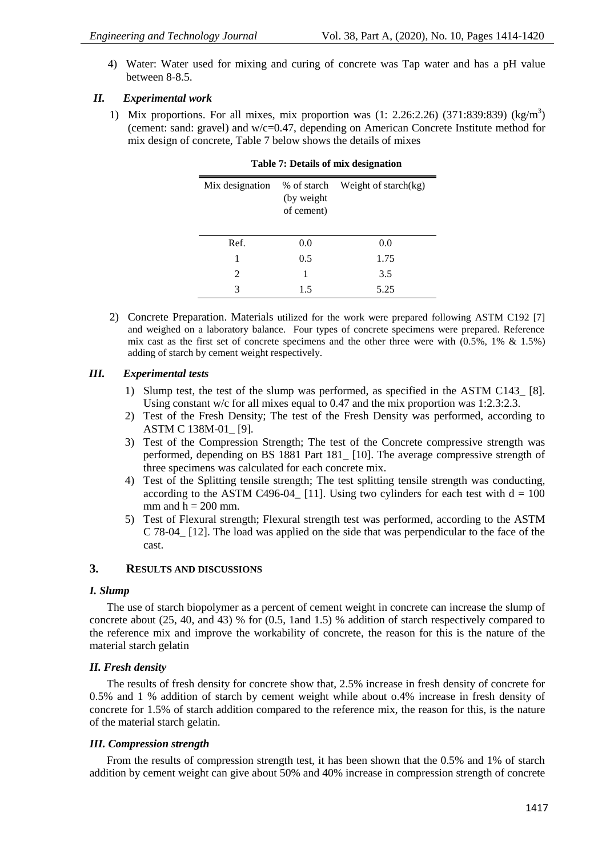4) Water: Water used for mixing and curing of concrete was Tap water and has a pH value between 8-8.5.

#### *II. Experimental work*

1) Mix proportions. For all mixes, mix proportion was (1: 2.26:2.26) (371:839:839) (kg/m<sup>3</sup>) (cement: sand: gravel) and w/c=0.47, depending on American Concrete Institute method for mix design of concrete, Table 7 below shows the details of mixes

| Mix designation | % of starch<br>(by weight | Weight of starch $(kg)$ |
|-----------------|---------------------------|-------------------------|
|                 | of cement)                |                         |
| Ref.            | 0.0                       | 0.0                     |
| 1               | 0.5                       | 1.75                    |
| $\mathfrak{D}$  |                           | 3.5                     |
| 3               | 15                        | 5.25                    |

|  |  | <b>Table 7: Details of mix designation</b> |  |  |  |  |
|--|--|--------------------------------------------|--|--|--|--|
|--|--|--------------------------------------------|--|--|--|--|

2) Concrete Preparation. Materials utilized for the work were prepared following ASTM C192 [7] and weighed on a laboratory balance. Four types of concrete specimens were prepared. Reference mix cast as the first set of concrete specimens and the other three were with  $(0.5\%$ , 1% & 1.5%) adding of starch by cement weight respectively.

#### *III. Experimental tests*

- 1) Slump test, the test of the slump was performed, as specified in the ASTM C143\_ [8]. Using constant w/c for all mixes equal to 0.47 and the mix proportion was 1:2.3:2.3.
- 2) Test of the Fresh Density; The test of the Fresh Density was performed, according to ASTM C 138M-01\_ [9].
- 3) Test of the Compression Strength; The test of the Concrete compressive strength was performed, depending on BS 1881 Part 181\_ [10]. The average compressive strength of three specimens was calculated for each concrete mix.
- 4) Test of the Splitting tensile strength; The test splitting tensile strength was conducting, according to the ASTM C496-04 [11]. Using two cylinders for each test with  $d = 100$ mm and  $h = 200$  mm.
- 5) Test of Flexural strength; Flexural strength test was performed, according to the ASTM C 78-04\_ [12]. The load was applied on the side that was perpendicular to the face of the cast.

#### **3. RESULTS AND DISCUSSIONS**

#### *I. Slump*

The use of starch biopolymer as a percent of cement weight in concrete can increase the slump of concrete about (25, 40, and 43) % for (0.5, 1and 1.5) % addition of starch respectively compared to the reference mix and improve the workability of concrete, the reason for this is the nature of the material starch gelatin

#### *II. Fresh density*

The results of fresh density for concrete show that, 2.5% increase in fresh density of concrete for 0.5% and 1 % addition of starch by cement weight while about o.4% increase in fresh density of concrete for 1.5% of starch addition compared to the reference mix, the reason for this, is the nature of the material starch gelatin.

#### *III. Compression strength*

From the results of compression strength test, it has been shown that the 0.5% and 1% of starch addition by cement weight can give about 50% and 40% increase in compression strength of concrete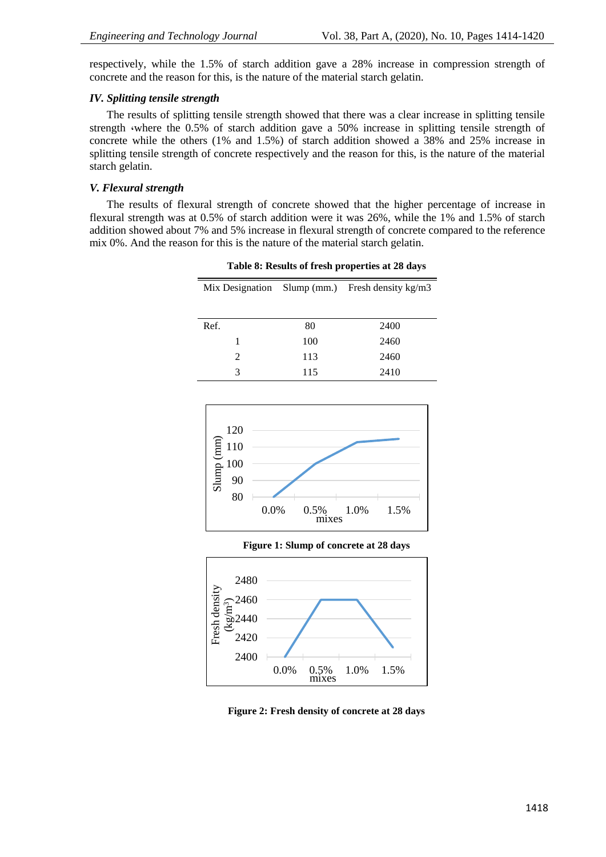respectively, while the 1.5% of starch addition gave a 28% increase in compression strength of concrete and the reason for this, is the nature of the material starch gelatin.

#### *IV. Splitting tensile strength*

The results of splitting tensile strength showed that there was a clear increase in splitting tensile strength (where the 0.5% of starch addition gave a 50% increase in splitting tensile strength of concrete while the others (1% and 1.5%) of starch addition showed a 38% and 25% increase in splitting tensile strength of concrete respectively and the reason for this, is the nature of the material starch gelatin.

#### *V. Flexural strength*

The results of flexural strength of concrete showed that the higher percentage of increase in flexural strength was at 0.5% of starch addition were it was 26%, while the 1% and 1.5% of starch addition showed about 7% and 5% increase in flexural strength of concrete compared to the reference mix 0%. And the reason for this is the nature of the material starch gelatin.

|                             |     | Mix Designation Slump (mm.) Fresh density $kg/m3$ |  |
|-----------------------------|-----|---------------------------------------------------|--|
| Ref.                        | 80  | 2400                                              |  |
| 1                           | 100 | 2460                                              |  |
| $\mathcal{D}_{\mathcal{L}}$ | 113 | 2460                                              |  |
| 3                           | 115 | 2410                                              |  |

**Table 8: Results of fresh properties at 28 days**



**Figure 1: Slump of concrete at 28 days**



**Figure 2: Fresh density of concrete at 28 days**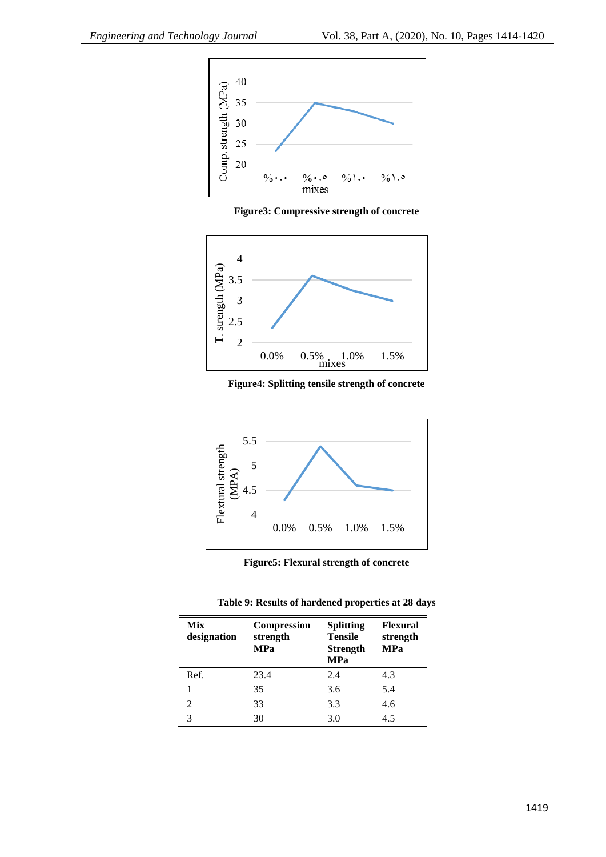

**Figure3: Compressive strength of concrete**



**Figure4: Splitting tensile strength of concrete**



**Figure5: Flexural strength of concrete**

| Table 9: Results of hardened properties at 28 days |  |  |  |  |
|----------------------------------------------------|--|--|--|--|
|----------------------------------------------------|--|--|--|--|

| Mix<br>designation | <b>Compression</b><br>strength<br><b>MPa</b> | <b>Splitting</b><br><b>Tensile</b><br><b>Strength</b><br><b>MPa</b> | <b>Flexural</b><br>strength<br><b>MPa</b> |
|--------------------|----------------------------------------------|---------------------------------------------------------------------|-------------------------------------------|
| Ref.               | 23.4                                         | 2.4                                                                 | 4.3                                       |
|                    | 35                                           | 3.6                                                                 | 5.4                                       |
| 2                  | 33                                           | 3.3                                                                 | 4.6                                       |
| 3                  | 30                                           | 3.0                                                                 | 4.5                                       |